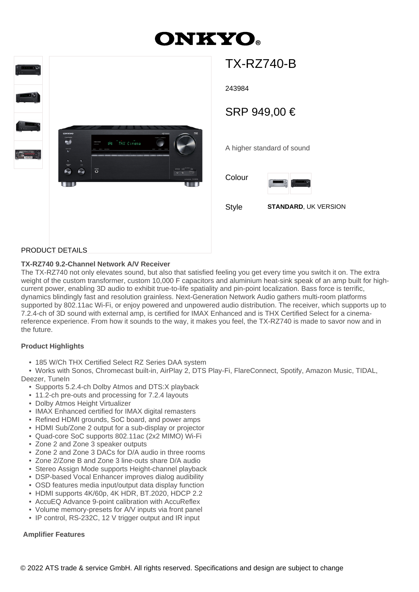# **ONKYO**



## TX-RZ740-B

243984

### SRP 949,00 €

A higher standard of sound

Colour



Style **STANDARD**, UK VERSION

#### PRODUCT DETAILS

#### **TX-RZ740 9.2-Channel Network A/V Receiver**

The TX-RZ740 not only elevates sound, but also that satisfied feeling you get every time you switch it on. The extra weight of the custom transformer, custom 10,000 F capacitors and aluminium heat-sink speak of an amp built for highcurrent power, enabling 3D audio to exhibit true-to-life spatiality and pin-point localization. Bass force is terrific, dynamics blindingly fast and resolution grainless. Next-Generation Network Audio gathers multi-room platforms supported by 802.11ac Wi-Fi, or enjoy powered and unpowered audio distribution. The receiver, which supports up to 7.2.4-ch of 3D sound with external amp, is certified for IMAX Enhanced and is THX Certified Select for a cinemareference experience. From how it sounds to the way, it makes you feel, the TX-RZ740 is made to savor now and in the future.

#### **Product Highlights**

• 185 W/Ch THX Certified Select RZ Series DAA system

 • Works with Sonos, Chromecast built-in, AirPlay 2, DTS Play-Fi, FlareConnect, Spotify, Amazon Music, TIDAL, Deezer, TuneIn

- Supports 5.2.4-ch Dolby Atmos and DTS:X playback
- 11.2-ch pre-outs and processing for 7.2.4 layouts
- Dolby Atmos Height Virtualizer
- IMAX Enhanced certified for IMAX digital remasters
- Refined HDMI grounds, SoC board, and power amps
- HDMI Sub/Zone 2 output for a sub-display or projector
- Quad-core SoC supports 802.11ac (2x2 MIMO) Wi-Fi
- Zone 2 and Zone 3 speaker outputs
- Zone 2 and Zone 3 DACs for D/A audio in three rooms
- Zone 2/Zone B and Zone 3 line-outs share D/A audio
- Stereo Assign Mode supports Height-channel playback
- DSP-based Vocal Enhancer improves dialog audibility
- OSD features media input/output data display function
- HDMI supports 4K/60p, 4K HDR, BT.2020, HDCP 2.2
- AccuEQ Advance 9-point calibration with AccuReflex
- Volume memory-presets for A/V inputs via front panel
- IP control, RS-232C, 12 V trigger output and IR input

#### **Amplifier Features**